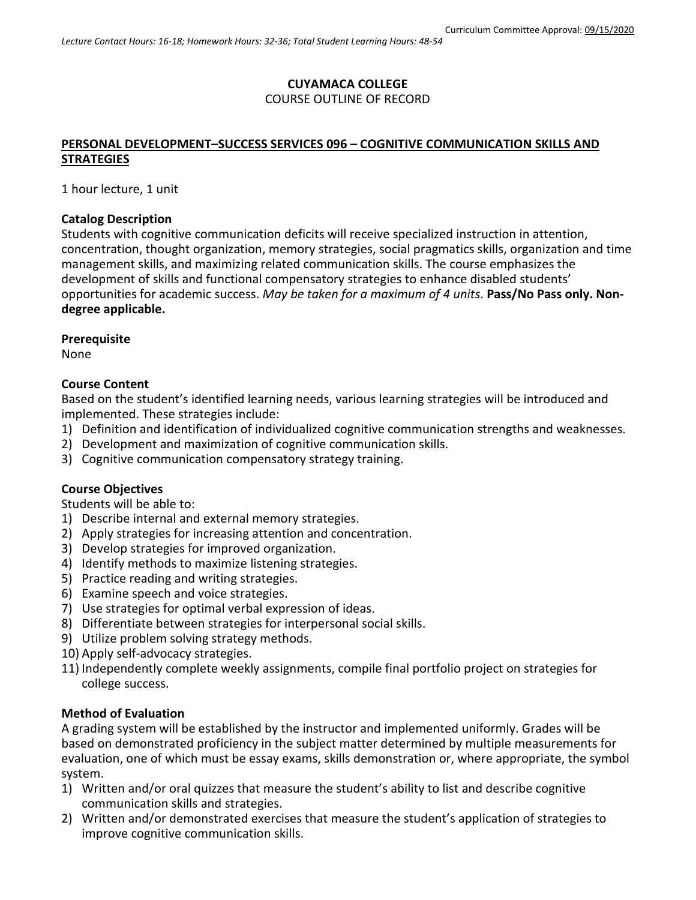# **CUYAMACA COLLEGE** COURSE OUTLINE OF RECORD

# **PERSONAL DEVELOPMENT–SUCCESS SERVICES 096 – COGNITIVE COMMUNICATION SKILLS AND STRATEGIES**

1 hour lecture, 1 unit

### **Catalog Description**

Students with cognitive communication deficits will receive specialized instruction in attention, concentration, thought organization, memory strategies, social pragmatics skills, organization and time management skills, and maximizing related communication skills. The course emphasizes the development of skills and functional compensatory strategies to enhance disabled students' opportunities for academic success. *May be taken for a maximum of 4 units*. **Pass/No Pass only. Nondegree applicable.**

### **Prerequisite**

None

### **Course Content**

Based on the student's identified learning needs, various learning strategies will be introduced and implemented. These strategies include:

- 1) Definition and identification of individualized cognitive communication strengths and weaknesses.
- 2) Development and maximization of cognitive communication skills.
- 3) Cognitive communication compensatory strategy training.

# **Course Objectives**

Students will be able to:

- 1) Describe internal and external memory strategies.
- 2) Apply strategies for increasing attention and concentration.
- 3) Develop strategies for improved organization.
- 4) Identify methods to maximize listening strategies.
- 5) Practice reading and writing strategies.
- 6) Examine speech and voice strategies.
- 7) Use strategies for optimal verbal expression of ideas.
- 8) Differentiate between strategies for interpersonal social skills.
- 9) Utilize problem solving strategy methods.
- 10) Apply self-advocacy strategies.
- 11) Independently complete weekly assignments, compile final portfolio project on strategies for college success.

### **Method of Evaluation**

A grading system will be established by the instructor and implemented uniformly. Grades will be based on demonstrated proficiency in the subject matter determined by multiple measurements for evaluation, one of which must be essay exams, skills demonstration or, where appropriate, the symbol system.

- 1) Written and/or oral quizzes that measure the student's ability to list and describe cognitive communication skills and strategies.
- 2) Written and/or demonstrated exercises that measure the student's application of strategies to improve cognitive communication skills.